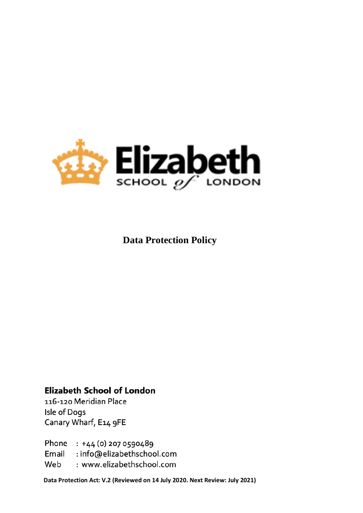

**Data Protection Policy**

## **Elizabeth School of London**

116-120 Meridian Place Isle of Dogs Canary Wharf, E14 9FE

Phone : +44 (0) 207 0590489 Email : info@elizabethschool.com Web : www.elizabethschool.com

**Data Protection Act: V.2 (Reviewed on 14 July 2020. Next Review: July 2021)**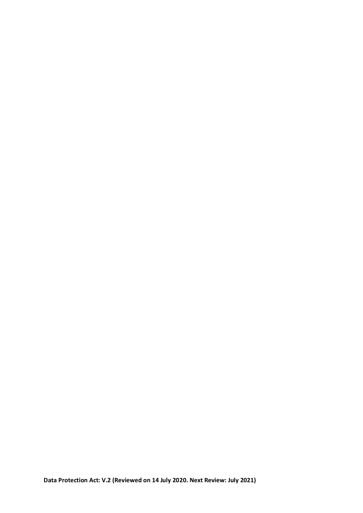**Data Protection Act: V.2 (Reviewed on 14 July 2020. Next Review: July 2021)**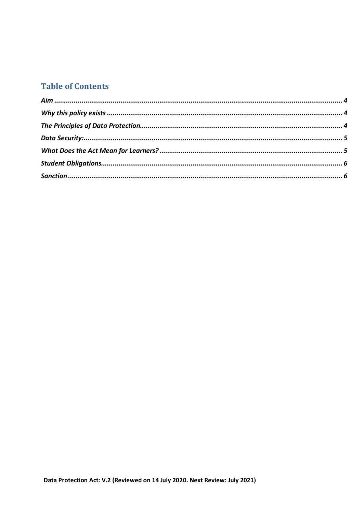# **Table of Contents**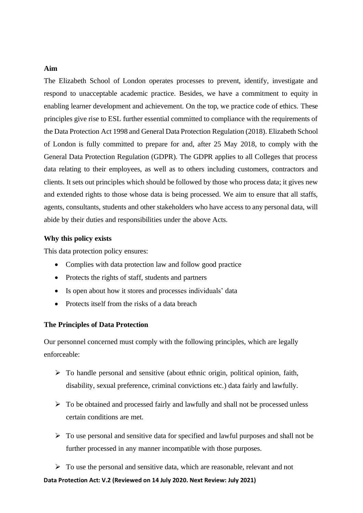#### <span id="page-3-0"></span>**Aim**

The Elizabeth School of London operates processes to prevent, identify, investigate and respond to unacceptable academic practice. Besides, we have a commitment to equity in enabling learner development and achievement. On the top, we practice code of ethics. These principles give rise to ESL further essential committed to compliance with the requirements of the Data Protection Act 1998 and General Data Protection Regulation (2018). Elizabeth School of London is fully committed to prepare for and, after 25 May 2018, to comply with the General Data Protection Regulation (GDPR). The GDPR applies to all Colleges that process data relating to their employees, as well as to others including customers, contractors and clients. It sets out principles which should be followed by those who process data; it gives new and extended rights to those whose data is being processed. We aim to ensure that all staffs, agents, consultants, students and other stakeholders who have access to any personal data, will abide by their duties and responsibilities under the above Acts.

#### <span id="page-3-1"></span>**Why this policy exists**

This data protection policy ensures:

- Complies with data protection law and follow good practice
- Protects the rights of staff, students and partners
- Is open about how it stores and processes individuals' data
- Protects itself from the risks of a data breach

#### <span id="page-3-2"></span>**The Principles of Data Protection**

Our personnel concerned must comply with the following principles, which are legally enforceable:

- ➢ To handle personal and sensitive (about ethnic origin, political opinion, faith, disability, sexual preference, criminal convictions etc.) data fairly and lawfully.
- $\triangleright$  To be obtained and processed fairly and lawfully and shall not be processed unless certain conditions are met.
- $\triangleright$  To use personal and sensitive data for specified and lawful purposes and shall not be further processed in any manner incompatible with those purposes.
- $\triangleright$  To use the personal and sensitive data, which are reasonable, relevant and not

**Data Protection Act: V.2 (Reviewed on 14 July 2020. Next Review: July 2021)**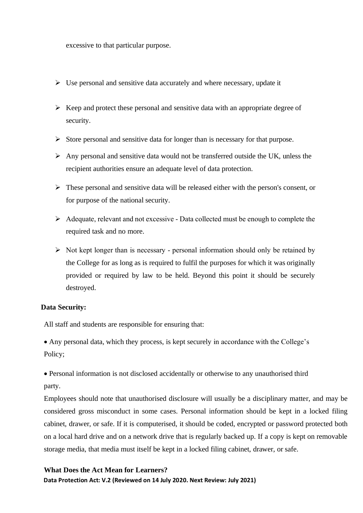excessive to that particular purpose.

- $\triangleright$  Use personal and sensitive data accurately and where necessary, update it
- $\triangleright$  Keep and protect these personal and sensitive data with an appropriate degree of security.
- ➢ Store personal and sensitive data for longer than is necessary for that purpose.
- $\triangleright$  Any personal and sensitive data would not be transferred outside the UK, unless the recipient authorities ensure an adequate level of data protection.
- ➢ These personal and sensitive data will be released either with the person's consent, or for purpose of the national security.
- ➢ Adequate, relevant and not excessive ‐ Data collected must be enough to complete the required task and no more.
- $\triangleright$  Not kept longer than is necessary personal information should only be retained by the College for as long as is required to fulfil the purposes for which it was originally provided or required by law to be held. Beyond this point it should be securely destroyed.

### <span id="page-4-0"></span>**Data Security:**

All staff and students are responsible for ensuring that:

• Any personal data, which they process, is kept securely in accordance with the College's Policy;

• Personal information is not disclosed accidentally or otherwise to any unauthorised third party.

Employees should note that unauthorised disclosure will usually be a disciplinary matter, and may be considered gross misconduct in some cases. Personal information should be kept in a locked filing cabinet, drawer, or safe. If it is computerised, it should be coded, encrypted or password protected both on a local hard drive and on a network drive that is regularly backed up. If a copy is kept on removable storage media, that media must itself be kept in a locked filing cabinet, drawer, or safe.

<span id="page-4-1"></span>**Data Protection Act: V.2 (Reviewed on 14 July 2020. Next Review: July 2021) What Does the Act Mean for Learners?**